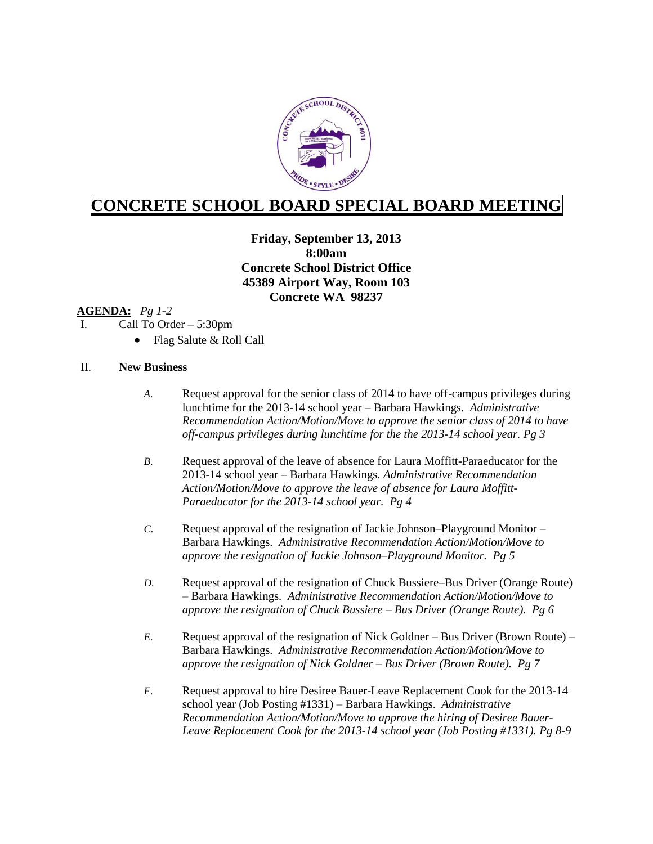

## **CONCRETE SCHOOL BOARD SPECIAL BOARD MEETING**

**Friday, September 13, 2013 8:00am Concrete School District Office 45389 Airport Way, Room 103 Concrete WA 98237**

## **AGENDA:** *Pg 1-2*

- I. Call To Order 5:30pm
	- Flag Salute & Roll Call

## II. **New Business**

- *A.* Request approval for the senior class of 2014 to have off-campus privileges during lunchtime for the 2013-14 school year – Barbara Hawkings. *Administrative Recommendation Action/Motion/Move to approve the senior class of 2014 to have off-campus privileges during lunchtime for the the 2013-14 school year. Pg 3*
- *B.* Request approval of the leave of absence for Laura Moffitt-Paraeducator for the 2013-14 school year – Barbara Hawkings. *Administrative Recommendation Action/Motion/Move to approve the leave of absence for Laura Moffitt-Paraeducator for the 2013-14 school year. Pg 4*
- *C.* Request approval of the resignation of Jackie Johnson–Playground Monitor Barbara Hawkings. *Administrative Recommendation Action/Motion/Move to approve the resignation of Jackie Johnson–Playground Monitor. Pg 5*
- *D.* Request approval of the resignation of Chuck Bussiere–Bus Driver (Orange Route) – Barbara Hawkings. *Administrative Recommendation Action/Motion/Move to approve the resignation of Chuck Bussiere – Bus Driver (Orange Route). Pg 6*
- *E.* Request approval of the resignation of Nick Goldner Bus Driver (Brown Route) Barbara Hawkings. *Administrative Recommendation Action/Motion/Move to approve the resignation of Nick Goldner – Bus Driver (Brown Route). Pg 7*
- *F.* Request approval to hire Desiree Bauer-Leave Replacement Cook for the 2013-14 school year (Job Posting #1331) – Barbara Hawkings. *Administrative Recommendation Action/Motion/Move to approve the hiring of Desiree Bauer-Leave Replacement Cook for the 2013-14 school year (Job Posting #1331). Pg 8-9*